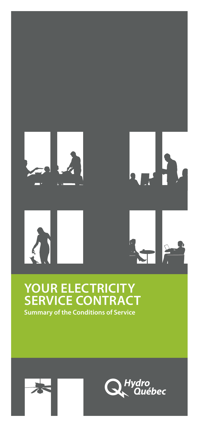

### **YOUR ELECTRICITY SERVICE CONTRACT Summary of the Conditions of Service**



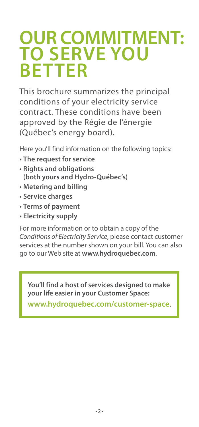## **OUR COMMITMENT: TO SERVE YOU BETTER**

This brochure summarizes the principal conditions of your electricity service contract. These conditions have been approved by the Régie de l'énergie (Québec's energy board).

Here you'll find information on the following topics:

- **• The request for service**
- **• Rights and obligations (both yours and Hydro-Québec's)**
- **• Metering and billing**
- **• Service charges**
- **• Terms of payment**
- **• Electricity supply**

For more information or to obtain a copy of the *Conditions of Electricity Service*, please contact customer services at the number shown on your bill. You can also go to our Web site at **www.hydroquebec.com**.

**You'll find a host of services designed to make your life easier in your Customer Space:**

**www.hydroquebec.com/customer-space**.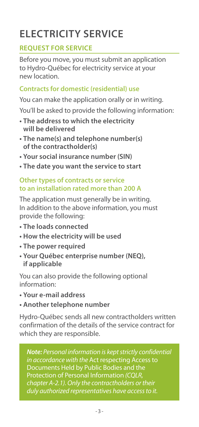## **ELECTRICITY SERVICE**

#### **REQUEST FOR SERVICE**

Before you move, you must submit an application to Hydro-Québec for electricity service at your new location.

#### **Contracts for domestic (residential) use**

You can make the application orally or in writing.

You'll be asked to provide the following information:

- **• The address to which the electricity will be delivered**
- **• The name(s) and telephone number(s) of the contractholder(s)**
- **• Your social insurance number (SIN)**
- **• The date you want the service to start**

#### **Other types of contracts or service to an installation rated more than 200 A**

The application must generally be in writing. In addition to the above information, you must provide the following:

- **• The loads connected**
- **• How the electricity will be used**
- **• The power required**
- **• Your Québec enterprise number (NEQ), if applicable**

You can also provide the following optional information:

- **• Your e-mail address**
- **• Another telephone number**

Hydro-Québec sends all new contractholders written confirmation of the details of the service contract for which they are responsible.

*Note: Personal information is kept strictly confidential in accordance with the* Act respecting Access to Documents Held by Public Bodies and the Protection of Personal Information *(CQLR, chapter A-2.1). Only the contractholders or their duly authorized representatives have access to it.*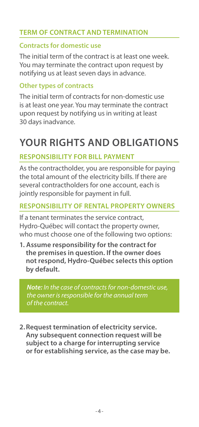#### **TERM OF CONTRACT AND TERMINATION**

#### **Contracts for domestic use**

The initial term of the contract is at least one week. You may terminate the contract upon request by notifying us at least seven days in advance.

#### **Other types of contracts**

The initial term of contracts for non-domestic use is at least one year. You may terminate the contract upon request by notifying us in writing at least 30 days inadvance.

## **YOUR RIGHTS AND OBLIGATIONS**

#### **RESPONSIBILITY FOR BILL PAYMENT**

As the contractholder, you are responsible for paying the total amount of the electricity bills. If there are several contractholders for one account, each is jointly responsible for payment in full.

#### **RESPONSIBILITY OF RENTAL PROPERTY OWNERS**

If a tenant terminates the service contract, Hydro-Québec will contact the property owner, who must choose one of the following two options:

**1. Assume responsibility for the contract for the premises in question. If the owner does not respond, Hydro-Québec selects this option by default.**

*Note: In the case of contracts for non-domestic use, the owner is responsible for the annual term of the contract.*

**2.Request termination of electricity service. Any subsequent connection request will be subject to a charge for interrupting service or for establishing service, as the case may be.**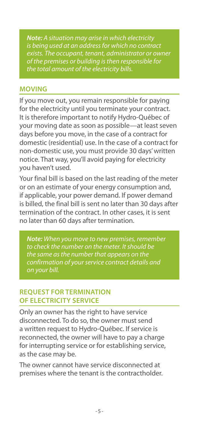*Note: A situation may arise in which electricity is being used at an address for which no contract exists. The occupant, tenant, administrator or owner of the premises or building is then responsible for the total amount of the electricity bills.*

#### **MOVING**

If you move out, you remain responsible for paying for the electricity until you terminate your contract. It is therefore important to notify Hydro-Québec of your moving date as soon as possible—at least seven days before you move, in the case of a contract for domestic (residential) use. In the case of a contract for non-domestic use, you must provide 30 days' written notice. That way, you'll avoid paying for electricity you haven't used.

Your final bill is based on the last reading of the meter or on an estimate of your energy consumption and, if applicable, your power demand. If power demand is billed, the final bill is sent no later than 30 days after termination of the contract. In other cases, it is sent no later than 60 days after termination.

*Note: When you move to new premises, remember to check the number on the meter. It should be the same as the number that appears on the confirmation of your service contract details and on your bill.*

#### **REQUEST FOR TERMINATION OF ELECTRICITY SERVICE**

Only an owner has the right to have service disconnected. To do so, the owner must send a written request to Hydro-Québec. If service is reconnected, the owner will have to pay a charge for interrupting service or for establishing service, as the case may be.

The owner cannot have service disconnected at premises where the tenant is the contractholder.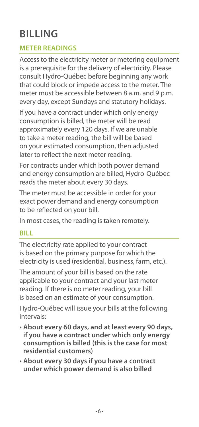## **BILLING**

#### **METER READINGS**

Access to the electricity meter or metering equipment is a prerequisite for the delivery of electricity. Please consult Hydro-Québec before beginning any work that could block or impede access to the meter. The meter must be accessible between 8 a.m. and 9 p.m. every day, except Sundays and statutory holidays.

If you have a contract under which only energy consumption is billed, the meter will be read approximately every 120 days. If we are unable to take a meter reading, the bill will be based on your estimated consumption, then adjusted later to reflect the next meter reading.

For contracts under which both power demand and energy consumption are billed, Hydro-Québec reads the meter about every 30 days.

The meter must be accessible in order for your exact power demand and energy consumption to be reflected on your bill.

In most cases, the reading is taken remotely.

#### **BILL**

The electricity rate applied to your contract is based on the primary purpose for which the electricity is used (residential, business, farm, etc.).

The amount of your bill is based on the rate applicable to your contract and your last meter reading. If there is no meter reading, your bill is based on an estimate of your consumption.

Hydro-Québec will issue your bills at the following intervals:

- **• About every 60 days, and at least every 90 days, if you have a contract under which only energy consumption is billed (this is the case for most residential customers)**
- **• About every 30 days if you have a contract under which power demand is also billed**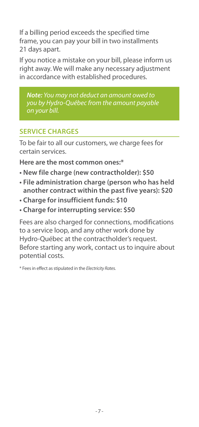If a billing period exceeds the specified time frame, you can pay your bill in two installments 21 days apart.

If you notice a mistake on your bill, please inform us right away. We will make any necessary adjustment in accordance with established procedures.

*Note: You may not deduct an amount owed to you by Hydro-Québec from the amount payable on your bill.*

#### **SERVICE CHARGES**

To be fair to all our customers, we charge fees for certain services.

**Here are the most common ones:\***

- **• New file charge (new contractholder): \$50**
- **• File administration charge (person who has held another contract within the past five years): \$20**
- **• Charge for insufficient funds: \$10**
- **• Charge for interrupting service: \$50**

Fees are also charged for connections, modifications to a service loop, and any other work done by Hydro-Québec at the contractholder's request. Before starting any work, contact us to inquire about potential costs.

\* Fees in effect as stipulated in the *Electricity Rates.*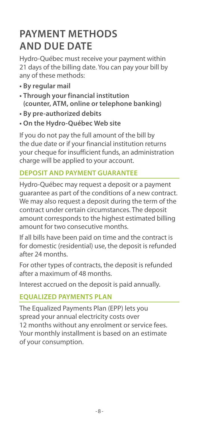## **PAYMENT METHODS AND DUE DATE**

Hydro-Québec must receive your payment within 21 days of the billing date. You can pay your bill by any of these methods:

- **• By regular mail**
- **• Through your financial institution (counter, ATM, online or telephone banking)**
- **• By pre-authorized debits**
- **• On the Hydro-Québec Web site**

If you do not pay the full amount of the bill by the due date or if your financial institution returns your cheque for insufficient funds, an administration charge will be applied to your account.

#### **DEPOSIT AND PAYMENT GUARANTEE**

Hydro-Québec may request a deposit or a payment guarantee as part of the conditions of a new contract. We may also request a deposit during the term of the contract under certain circumstances. The deposit amount corresponds to the highest estimated billing amount for two consecutive months.

If all bills have been paid on time and the contract is for domestic (residential) use, the deposit is refunded after 24 months.

For other types of contracts, the deposit is refunded after a maximum of 48 months.

Interest accrued on the deposit is paid annually.

#### **EQUALIZED PAYMENTS PLAN**

The Equalized Payments Plan (EPP) lets you spread your annual electricity costs over 12 months without any enrolment or service fees. Your monthly installment is based on an estimate of your consumption.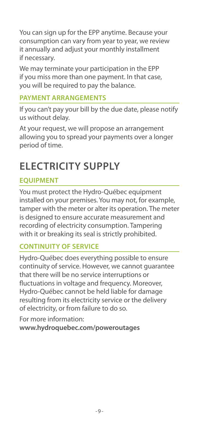You can sign up for the EPP anytime. Because your consumption can vary from year to year, we review it annually and adjust your monthly installment if necessary.

We may terminate your participation in the EPP if you miss more than one payment. In that case, you will be required to pay the balance.

#### **PAYMENT ARRANGEMENTS**

If you can't pay your bill by the due date, please notify us without delay.

At your request, we will propose an arrangement allowing you to spread your payments over a longer period of time.

## **ELECTRICITY SUPPLY**

#### **EQUIPMENT**

You must protect the Hydro-Québec equipment installed on your premises. You may not, for example, tamper with the meter or alter its operation. The meter is designed to ensure accurate measurement and recording of electricity consumption. Tampering with it or breaking its seal is strictly prohibited.

#### **CONTINUITY OF SERVICE**

Hydro-Québec does everything possible to ensure continuity of service. However, we cannot guarantee that there will be no service interruptions or fluctuations in voltage and frequency. Moreover, Hydro-Québec cannot be held liable for damage resulting from its electricity service or the delivery of electricity, or from failure to do so.

For more information: **www.hydroquebec.com/poweroutages**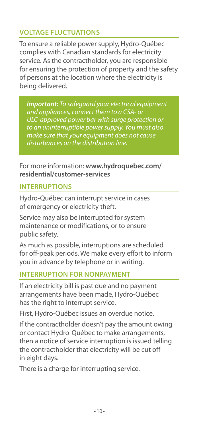#### **VOLTAGE FLUCTUATIONS**

To ensure a reliable power supply, Hydro-Québec complies with Canadian standards for electricity service. As the contractholder, you are responsible for ensuring the protection of property and the safety of persons at the location where the electricity is being delivered.

*Important: To safeguard your electrical equipment and appliances, connect them to a CSA- or ULC-approved power bar with surge protection or to an uninterruptible power supply. You must also make sure that your equipment does not cause disturbances on the distribution line.*

For more information: **www.hydroquebec.com/ residential/customer-services**

#### **INTERRUPTIONS**

Hydro-Québec can interrupt service in cases of emergency or electricity theft.

Service may also be interrupted for system maintenance or modifications, or to ensure public safety.

As much as possible, interruptions are scheduled for off-peak periods. We make every effort to inform you in advance by telephone or in writing.

#### **INTERRUPTION FOR NONPAYMENT**

If an electricity bill is past due and no payment arrangements have been made, Hydro-Québec has the right to interrupt service.

First, Hydro-Québec issues an overdue notice.

If the contractholder doesn't pay the amount owing or contact Hydro-Québec to make arrangements, then a notice of service interruption is issued telling the contractholder that electricity will be cut off in eight days.

There is a charge for interrupting service.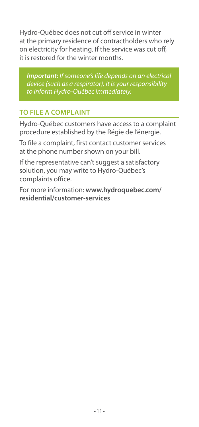Hydro-Québec does not cut off service in winter at the primary residence of contractholders who rely on electricity for heating. If the service was cut off, it is restored for the winter months.

*Important: If someone's life depends on an electrical device (such as a respirator), it is your responsibility to inform Hydro-Québec immediately.*

#### **TO FILE A COMPLAINT**

Hydro-Québec customers have access to a complaint procedure established by the Régie de l'énergie.

To file a complaint, first contact customer services at the phone number shown on your bill.

If the representative can't suggest a satisfactory solution, you may write to Hydro-Québec's complaints office.

For more information: **www.hydroquebec.com/ residential/customer-services**